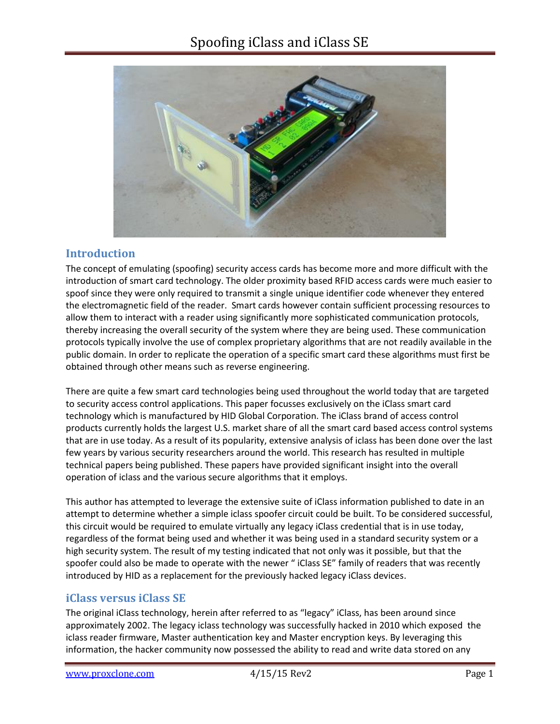

### **Introduction**

The concept of emulating (spoofing) security access cards has become more and more difficult with the introduction of smart card technology. The older proximity based RFID access cards were much easier to spoof since they were only required to transmit a single unique identifier code whenever they entered the electromagnetic field of the reader. Smart cards however contain sufficient processing resources to allow them to interact with a reader using significantly more sophisticated communication protocols, thereby increasing the overall security of the system where they are being used. These communication protocols typically involve the use of complex proprietary algorithms that are not readily available in the public domain. In order to replicate the operation of a specific smart card these algorithms must first be obtained through other means such as reverse engineering.

There are quite a few smart card technologies being used throughout the world today that are targeted to security access control applications. This paper focusses exclusively on the iClass smart card technology which is manufactured by HID Global Corporation. The iClass brand of access control products currently holds the largest U.S. market share of all the smart card based access control systems that are in use today. As a result of its popularity, extensive analysis of iclass has been done over the last few years by various security researchers around the world. This research has resulted in multiple technical papers being published. These papers have provided significant insight into the overall operation of iclass and the various secure algorithms that it employs.

This author has attempted to leverage the extensive suite of iClass information published to date in an attempt to determine whether a simple iclass spoofer circuit could be built. To be considered successful, this circuit would be required to emulate virtually any legacy iClass credential that is in use today, regardless of the format being used and whether it was being used in a standard security system or a high security system. The result of my testing indicated that not only was it possible, but that the spoofer could also be made to operate with the newer " iClass SE" family of readers that was recently introduced by HID as a replacement for the previously hacked legacy iClass devices.

### **iClass versus iClass SE**

The original iClass technology, herein after referred to as "legacy" iClass, has been around since approximately 2002. The legacy iclass technology was successfully hacked in 2010 which exposed the iclass reader firmware, Master authentication key and Master encryption keys. By leveraging this information, the hacker community now possessed the ability to read and write data stored on any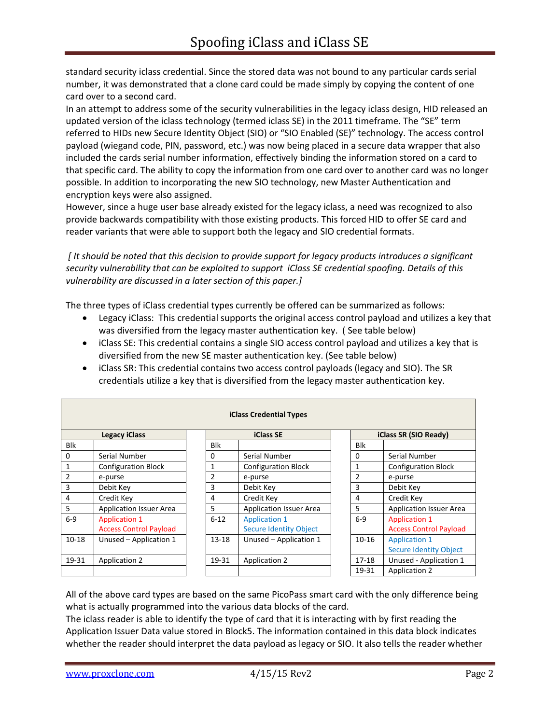standard security iclass credential. Since the stored data was not bound to any particular cards serial number, it was demonstrated that a clone card could be made simply by copying the content of one card over to a second card.

In an attempt to address some of the security vulnerabilities in the legacy iclass design, HID released an updated version of the iclass technology (termed iclass SE) in the 2011 timeframe. The "SE" term referred to HIDs new Secure Identity Object (SIO) or "SIO Enabled (SE)" technology. The access control payload (wiegand code, PIN, password, etc.) was now being placed in a secure data wrapper that also included the cards serial number information, effectively binding the information stored on a card to that specific card. The ability to copy the information from one card over to another card was no longer possible. In addition to incorporating the new SIO technology, new Master Authentication and encryption keys were also assigned.

However, since a huge user base already existed for the legacy iclass, a need was recognized to also provide backwards compatibility with those existing products. This forced HID to offer SE card and reader variants that were able to support both the legacy and SIO credential formats.

*[ It should be noted that this decision to provide support for legacy products introduces a significant security vulnerability that can be exploited to support iClass SE credential spoofing. Details of this vulnerability are discussed in a later section of this paper.]*

The three types of iClass credential types currently be offered can be summarized as follows:

- Legacy iClass: This credential supports the original access control payload and utilizes a key that was diversified from the legacy master authentication key. ( See table below)
- iClass SE: This credential contains a single SIO access control payload and utilizes a key that is diversified from the new SE master authentication key. (See table below)
- iClass SR: This credential contains two access control payloads (legacy and SIO). The SR credentials utilize a key that is diversified from the legacy master authentication key.

| <b>iClass Credential Types</b> |                                                       |                |                                                       |                |                       |                                                       |
|--------------------------------|-------------------------------------------------------|----------------|-------------------------------------------------------|----------------|-----------------------|-------------------------------------------------------|
|                                | <b>Legacy iClass</b>                                  |                | <b>iClass SE</b>                                      |                | iClass SR (SIO Ready) |                                                       |
| Blk                            |                                                       | Blk            |                                                       |                | Blk                   |                                                       |
| 0                              | Serial Number                                         | $\Omega$       | Serial Number                                         | 0              |                       | Serial Number                                         |
|                                | <b>Configuration Block</b>                            | 1              | <b>Configuration Block</b>                            | 1              |                       | <b>Configuration Block</b>                            |
| $\overline{2}$                 | e-purse                                               | $\overline{2}$ | e-purse                                               | $\overline{2}$ |                       | e-purse                                               |
| 3                              | Debit Key                                             | 3              | Debit Key                                             | 3              |                       | Debit Key                                             |
| 4                              | Credit Key                                            | 4              | Credit Key                                            | 4              |                       | Credit Key                                            |
| 5                              | <b>Application Issuer Area</b>                        | 5              | <b>Application Issuer Area</b>                        | 5              |                       | <b>Application Issuer Area</b>                        |
| $6-9$                          | <b>Application 1</b><br><b>Access Control Payload</b> | $6 - 12$       | <b>Application 1</b><br><b>Secure Identity Object</b> |                | $6-9$                 | <b>Application 1</b><br><b>Access Control Payload</b> |
| $10 - 18$                      | Unused - Application 1                                | $13 - 18$      | Unused - Application 1                                |                | $10 - 16$             | <b>Application 1</b><br><b>Secure Identity Object</b> |
| 19-31                          | Application 2                                         | 19-31          | <b>Application 2</b>                                  |                | $17 - 18$             | Unused - Application 1                                |
|                                |                                                       |                |                                                       |                | 19-31                 | <b>Application 2</b>                                  |

All of the above card types are based on the same PicoPass smart card with the only difference being what is actually programmed into the various data blocks of the card.

The iclass reader is able to identify the type of card that it is interacting with by first reading the Application Issuer Data value stored in Block5. The information contained in this data block indicates whether the reader should interpret the data payload as legacy or SIO. It also tells the reader whether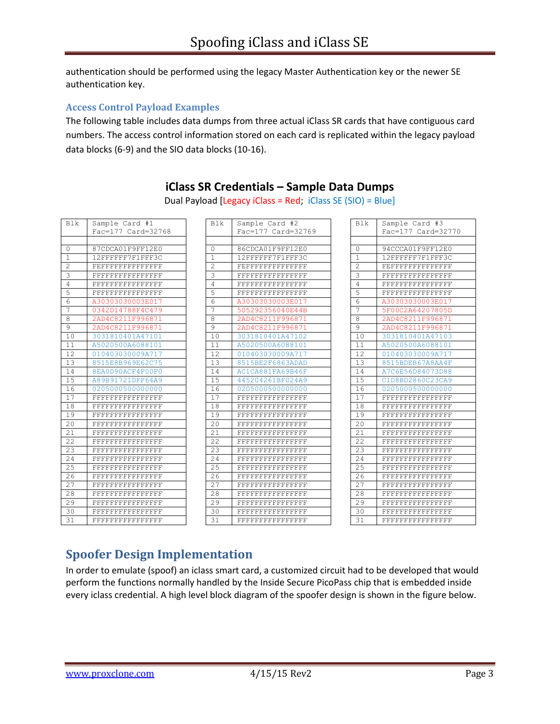authentication should be performed using the legacy Master Authentication key or the newer SE authentication key.

#### **Access Control Payload Examples**

The following table includes data dumps from three actual iClass SR cards that have contiguous card numbers. The access control information stored on each card is replicated within the legacy payload data blocks (6-9) and the SIO data blocks (10-16).

| <b>Blk</b>     | Sample Card #1              | <b>Blk</b>     | Sample Card #2              | <b>Blk</b>     | Sample Card #3   |
|----------------|-----------------------------|----------------|-----------------------------|----------------|------------------|
|                | Fac=177 Card=32768          |                | Fac=177 Card=32769          |                | Fac=177 Card=327 |
|                |                             |                |                             |                |                  |
| $\Omega$       | 87CDCA01F9FF12E0            | $\Omega$       | 86CDCA01F9FF12E0            | $\Omega$       | 94CCCA01F9FF12E0 |
| $\mathbf{1}$   | 12FFFFFF7F1FFF3C            | $\mathbf{1}$   | 12FFFFFF7F1FFF3C            | $\mathbf{1}$   | 12FFFFFF7F1FFF3C |
| 2              | FEFFFFFFFFFFFFFF            | $\overline{c}$ | FEFFFFFFFFFFFFFF            | $\overline{c}$ | FEFFFFFFFFFFFFFF |
| 3              | FFFFFFFFFFFFFFFF            | $\mathbf{3}$   | FFFFFFFFFFFFFFFF            | $\mathbf{3}$   | FFFFFFFFFFFFFFFF |
| $\overline{4}$ | ${\tt FFFFFFFFFFFFFFFFFFF}$ | $\sqrt{4}$     | FFFFFFFFFFFFFFFF            | $\overline{4}$ | FFFFFFFFFFFFFFFF |
| 5              | FFFFFFFFFFFFFFFF            | 5              | FFFFFFFFFFFFFFFF            | 5              | FFFFFFFFFFFFFFF  |
| 6              | A30303030003E017            | $\overline{6}$ | A30303030003E017            | 6              | A30303030003E017 |
| 7              | 0342D14788F4C479            | $\overline{7}$ | 505292356040E44B            | 7              | 5F00C2A64207805D |
| 8              | 2AD4C8211F996871            | 8              | 2AD4C8211F996871            | 8              | 2AD4C8211F996871 |
| 9              | 2AD4C8211F996871            | 9              | 2AD4C8211F996871            | $\overline{9}$ | 2AD4C8211F996871 |
| 10             | 3031810401A47101            | 10             | 3031810401A47102            | 10             | 3031810401A47103 |
| 11             | A5020500A6088101            | 11             | A5020500A6088101            | 11             | A5020500A6088101 |
| 12             | 010403030009A717            | 12             | 010403030009A717            | 12             | 010403030009A717 |
| 13             | 8515E8B969E62C75            | 13             | 8515BE2F6863ADAD            | 13             | 8515BDEB67A8AA4F |
| 14             | 8EA0D90ACF4F00F0            | 14             | AC1CA881FA69B46F            | 14             | A7C6E56D84073D88 |
| 15             | A89B91721DFF64A9            | 15             | 445204261BF024A9            | 15             | C1D8BD2860C23CA9 |
| 16             | 0205000500000000            | 16             | 0205000500000000            | 16             | 0205000500000000 |
| 17             | FFFFFFFFFFFFFFFF            | 17             | FFFFFFFFFFFFFFFF            | 17             | FFFFFFFFFFFFFFFF |
| 18             | <b>FFFFFFFFFFFFFFFFFFFF</b> | 18             | FFFFFFFFFFFFFFFF            | 18             | FFFFFFFFFFFFFFFF |
| 19             | <b>FFFFFFFFFFFFFFFFFFF</b>  | 19             | ${\tt FFFFFFFFFFFFFFFFFFF}$ | 19             | FFFFFFFFFFFFFFFF |
| 20             | FFFFFFFFFFFFFFFF            | 20             | FFFFFFFFFFFFFFFF            | 20             | FFFFFFFFFFFFFFFF |
| 21             | FFFFFFFFFFFFFFFF            | 21             | FFFFFFFFFFFFFFFF            | 21             | FFFFFFFFFFFFFFFF |
| 22             | FFFFFFFFFFFFFFFF            | 22             | FFFFFFFFFFFFFFFF            | 22             | FFFFFFFFFFFFFFFF |
| 23             | <b>FFFFFFFFFFFFFFFFFFF</b>  | 23             | FFFFFFFFFFFFFFFF            | 23             | FFFFFFFFFFFFFFFF |
| 24             | <b>FFFFFFFFFFFFFFFFFFF</b>  | 24             | FFFFFFFFFFFFFFFF            | 24             | FFFFFFFFFFFFFFFF |
| 25             | <b>FFFFFFFFFFFFFFFFFFF</b>  | 25             | <b>FFFFFFFFFFFFFFFFFF</b>   | 25             | FFFFFFFFFFFFFFFF |
| 26             | FFFFFFFFFFFFFFFF            | 26             | FFFFFFFFFFFFFFFF            | 26             | FFFFFFFFFFFFFFFF |
| 27             | FFFFFFFFFFFFFFFF            | 27             | FFFFFFFFFFFFFFFF            | 27             | FFFFFFFFFFFFFFFF |
| 28             | FFFFFFFFFFFFFFFF            | 28             | FFFFFFFFFFFFFFFF            | 28             | FFFFFFFFFFFFFFFF |
| 29             | FFFFFFFFFFFFFFFF            | 29             | FFFFFFFFFFFFFFFF            | 29             | FFFFFFFFFFFFFFFF |
| 30             | FFFFFFFFFFFFFFFF            | 30             | FFFFFFFFFFFFFFFF            | 30             | FFFFFFFFFFFFFFFF |
| 31             | FFFFFFFFFFFFFFFF            | 31             | FFFFFFFFFFFFFFFF            | 31             | FFFFFFFFFFFFFFFF |

## **iClass SR Credentials – Sample Data Dumps**

Dual Payload [Legacy iClass = Red; iClass SE (SIO) = Blue]

|                 | Fac=177 Card=32768          |          | Fac=177 Card=32769          |              | Fac=177 Card=327            |
|-----------------|-----------------------------|----------|-----------------------------|--------------|-----------------------------|
|                 |                             |          |                             |              |                             |
| 0               | 87CDCA01F9FF12E0            | $\Omega$ | 86CDCA01F9FF12E0            | $\Omega$     | 94CCCA01F9FF12E0            |
| 1               | 12FFFFFF7F1FFF3C            | 1        | 12FFFFFF7F1FFF3C            | $\mathbf{1}$ | 12FFFFFF7F1FFF3C            |
| 2               | FEFFFFFFFFFFFFFF            | 2        | FEFFFFFFFFFFFFFF            | 2            | FEFFFFFFFFFFFFFF            |
| 3               | ${\tt FFFFFFFFFFFFFFFFFFF}$ | 3        | ${\tt FFFFFFFFFFFFFFFFFF}$  | 3            | FFFFFFFFFFFFFFFF            |
| 4               | <b>FFFFFFFFFFFFFFFFFFF</b>  | 4        | ${\tt FFFFFFFFFFFFFFFFFFF}$ | 4            | ${\tt FFFFFFFFFFFFFFFFFFF}$ |
| 5               | FFFFFFFFFFFFFFFF            | 5        | FFFFFFFFFFFFFFFF            | 5            | FFFFFFFFFFFFFFFF            |
| 6               | A30303030003E017            | 6        | A30303030003E017            | 6            | A30303030003E017            |
| 7               | 0342D14788F4C479            | 7        | 505292356040E44B            | 7            | 5F00C2A64207805D            |
| 8               | 2AD4C8211F996871            | 8        | 2AD4C8211F996871            | 8            | 2AD4C8211F996871            |
| $\overline{9}$  | 2AD4C8211F996871            | 9        | 2AD4C8211F996871            | 9            | 2AD4C8211F996871            |
| 10              | 3031810401A47101            | 10       | 3031810401A47102            | 10           | 3031810401A47103            |
| 11              | A5020500A6088101            | 11       | A5020500A6088101            | 11           | A5020500A6088101            |
| 12              | 010403030009A717            | 12       | 010403030009A717            | 12           | 010403030009A717            |
| 13              | 8515E8B969E62C75            | 13       | 8515BE2F6863ADAD            | 13           | 8515BDEB67A8AA4F            |
| 14              | 8EA0D90ACF4F00F0            | 14       | AC1CA881FA69B46F            | 14           | A7C6E56D84073D88            |
| 15              | A89B91721DFF64A9            | 15       | 445204261BF024A9            | 15           | C1D8BD2860C23CA9            |
| 16              | 0205000500000000            | 16       | 0205000500000000            | 16           | 0205000500000000            |
| 17              | FFFFFFFFFFFFFFFF            | 17       | FFFFFFFFFFFFFFFF            | 17           | FFFFFFFFFFFFFFFF            |
| $\overline{18}$ | ${\tt FFFFFFFFFFFFFFFFFFF}$ | 18       | <b>FFFFFFFFFFFFFFFFFFFF</b> | 18           | FFFFFFFFFFFFFFFF            |
| 19              | FFFFFFFFFFFFFFFF            | 19       | FFFFFFFFFFFFFFFF            | 19           | FFFFFFFFFFFFFFFF            |
| $\overline{20}$ | FFFFFFFFFFFFFFFF            | 20       | FFFFFFFFFFFFFFFF            | 20           | FFFFFFFFFFFFFFFF            |
| 21              | ${\tt FFFFFFFFFFFFFFFFFFF}$ | 21       | FFFFFFFFFFFFFFFF            | 21           | FFFFFFFFFFFFFFFF            |
| $\overline{22}$ | FFFFFFFFFFFFFFFF            | 22       | FFFFFFFFFFFFFFFF            | 22           | FFFFFFFFFFFFFFFF            |
| 23              | FFFFFFFFFFFFFFFF            | 23       | <b>FFFFFFFFFFFFFFFFFFFF</b> | 23           | FFFFFFFFFFFFFFFF            |
| 24              | FFFFFFFFFFFFFFFF            | 24       | FFFFFFFFFFFFFFFF            | 24           | FFFFFFFFFFFFFFFF            |
| 25              | ${\tt FFFFFFFFFFFFFFFFFFF}$ | 25       | ${\tt FFFFFFFFFFFFFFFFFF}$  | 25           | FFFFFFFFFFFFFFFF            |
| 26              | FFFFFFFFFFFFFFFF            | 26       | FFFFFFFFFFFFFFFF            | 26           | ${\tt FFFFFFFFFFFFFFFFFFF}$ |
| 27              | FFFFFFFFFFFFFFFF            | 27       | FFFFFFFFFFFFFFFF            | 27           | FFFFFFFFFFFFFFFF            |
| 28              | ${\tt FFFFFFFFFFFFFFFFFFF}$ | 28       | ${\tt FFFFFFFFFFFFFFFFFFF}$ | 28           | FFFFFFFFFFFFFFFF            |
| 29              | FFFFFFFFFFFFFFFF            | 29       | FFFFFFFFFFFFFFFF            | 29           | FFFFFFFFFFFFFFFF            |
| 30              | ${\tt FFFFFFFFFFFFFFFFFFF}$ | 30       | FFFFFFFFFFFFFFFF            | 30           | FFFFFFFFFFFFFFFF            |
| 31              | FFFFFFFFFFFFFFFF            | 31       | FFFFFFFFFFFFFFFF            | 31           | FFFFFFFFFFFFFFFF            |
|                 |                             |          |                             |              |                             |

| Blk             | Sample Card #3                                           |
|-----------------|----------------------------------------------------------|
|                 | Fac=177 Card=32770                                       |
|                 |                                                          |
| 0               | 94CCCA01F9FF12E0                                         |
| $\mathbf{1}$    | 12FFFFFF7F1FFF3C                                         |
| $\overline{c}$  | FEFFFFFFFFFFFFFF                                         |
| 3               | ${\bf FFF}{\bf FFF}{\bf FFF}{\bf FFF}{\bf FFF}{\bf FFF}$ |
| 4               | FFFFFFFFFFFFFFFF                                         |
| 5               | ${\tt FFFFFFFFFFFFFFFFFFF}$                              |
| 6               | A30303030003E017                                         |
| 7               | 5F00C2A64207805D                                         |
| 8               | 2AD4C8211F996871                                         |
| 9               | 2AD4C8211F996871                                         |
| 10              | 3031810401A47103                                         |
| 11              | A5020500A6088101                                         |
| 12              | 010403030009A717                                         |
| 13              | 8515BDEB67A8AA4F                                         |
| 14              | A7C6E56D84073D88                                         |
| 15              | C1D8BD2860C23CA9                                         |
| 16              | 0205000500000000                                         |
| 17              | ${\tt FFFFFFFFFFFFFFFFFFF}$                              |
| 18              |                                                          |
| 19              | ${\tt FFFFFFFFFFFFFFFFFFF}$                              |
| $\overline{2}0$ | FFFFFFFFFFFFFFFF                                         |
| 21              | FFFFFFFFFFFFFFFF                                         |
| 22              | FFFFFFFFFFFFFFFF                                         |
| 23              | FFFFFFFFFFFFFFFF                                         |
| 2.4             | FFFFFFFFFFFFFFFF                                         |
| 25              | FFFFFFFFFFFFFFFF                                         |
| 26              | ${\tt FFFFFFFFFFFFFFFFFFF}$                              |
| 2.7             |                                                          |
| 28              | ${\tt FFFFFFFFFFFFFFFFFFF}$                              |
| 29              |                                                          |
| 30              |                                                          |
| $\overline{3}1$ | FFFFFFFFFFFFFFFF                                         |

# **Spoofer Design Implementation**

In order to emulate (spoof) an iclass smart card, a customized circuit had to be developed that would perform the functions normally handled by the Inside Secure PicoPass chip that is embedded inside every iclass credential. A high level block diagram of the spoofer design is shown in the figure below.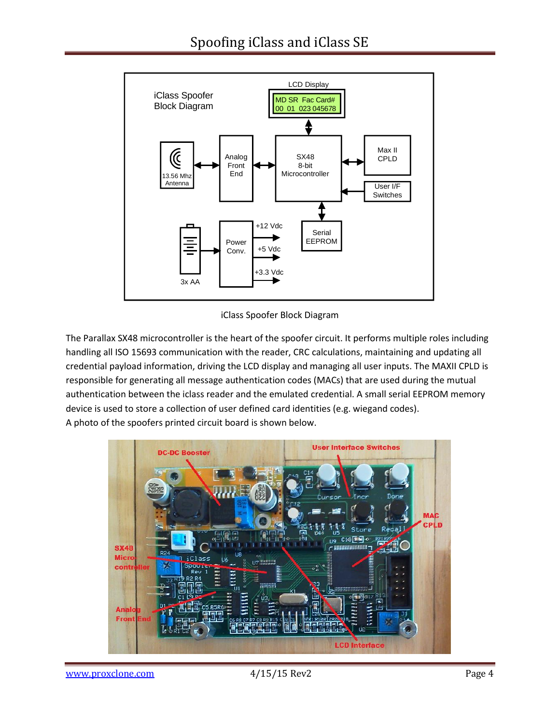

iClass Spoofer Block Diagram

The Parallax SX48 microcontroller is the heart of the spoofer circuit. It performs multiple roles including handling all ISO 15693 communication with the reader, CRC calculations, maintaining and updating all credential payload information, driving the LCD display and managing all user inputs. The MAXII CPLD is responsible for generating all message authentication codes (MACs) that are used during the mutual authentication between the iclass reader and the emulated credential. A small serial EEPROM memory device is used to store a collection of user defined card identities (e.g. wiegand codes). A photo of the spoofers printed circuit board is shown below.

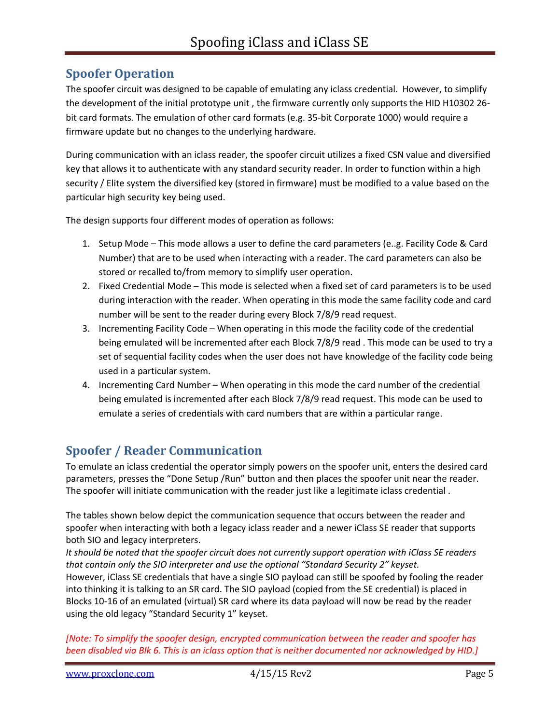### **Spoofer Operation**

The spoofer circuit was designed to be capable of emulating any iclass credential. However, to simplify the development of the initial prototype unit , the firmware currently only supports the HID H10302 26 bit card formats. The emulation of other card formats (e.g. 35-bit Corporate 1000) would require a firmware update but no changes to the underlying hardware.

During communication with an iclass reader, the spoofer circuit utilizes a fixed CSN value and diversified key that allows it to authenticate with any standard security reader. In order to function within a high security / Elite system the diversified key (stored in firmware) must be modified to a value based on the particular high security key being used.

The design supports four different modes of operation as follows:

- 1. Setup Mode This mode allows a user to define the card parameters (e..g. Facility Code & Card Number) that are to be used when interacting with a reader. The card parameters can also be stored or recalled to/from memory to simplify user operation.
- 2. Fixed Credential Mode This mode is selected when a fixed set of card parameters is to be used during interaction with the reader. When operating in this mode the same facility code and card number will be sent to the reader during every Block 7/8/9 read request.
- 3. Incrementing Facility Code When operating in this mode the facility code of the credential being emulated will be incremented after each Block 7/8/9 read . This mode can be used to try a set of sequential facility codes when the user does not have knowledge of the facility code being used in a particular system.
- 4. Incrementing Card Number When operating in this mode the card number of the credential being emulated is incremented after each Block 7/8/9 read request. This mode can be used to emulate a series of credentials with card numbers that are within a particular range.

# **Spoofer / Reader Communication**

To emulate an iclass credential the operator simply powers on the spoofer unit, enters the desired card parameters, presses the "Done Setup /Run" button and then places the spoofer unit near the reader. The spoofer will initiate communication with the reader just like a legitimate iclass credential .

The tables shown below depict the communication sequence that occurs between the reader and spoofer when interacting with both a legacy iclass reader and a newer iClass SE reader that supports both SIO and legacy interpreters.

*It should be noted that the spoofer circuit does not currently support operation with iClass SE readers that contain only the SIO interpreter and use the optional "Standard Security 2" keyset.*  However, iClass SE credentials that have a single SIO payload can still be spoofed by fooling the reader into thinking it is talking to an SR card. The SIO payload (copied from the SE credential) is placed in Blocks 10-16 of an emulated (virtual) SR card where its data payload will now be read by the reader using the old legacy "Standard Security 1" keyset.

*[Note: To simplify the spoofer design, encrypted communication between the reader and spoofer has been disabled via Blk 6. This is an iclass option that is neither documented nor acknowledged by HID.]*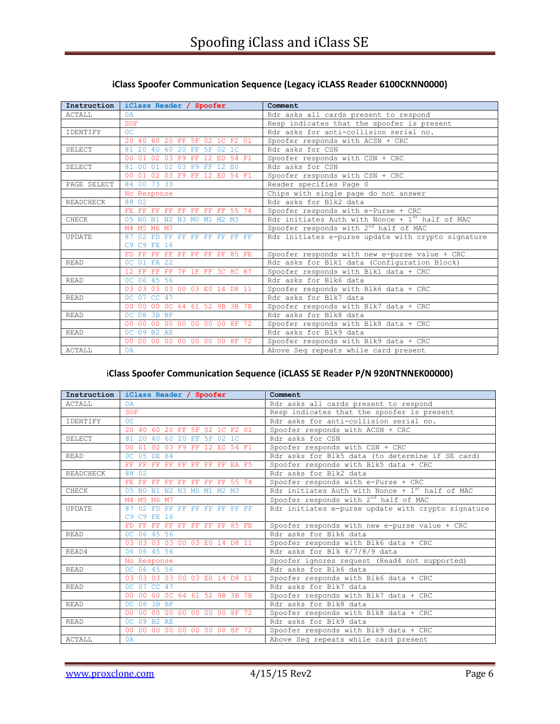| Instruction      | iClass Reader / Spoofer                                 | Comment                                            |
|------------------|---------------------------------------------------------|----------------------------------------------------|
| ACTALL           | 0A                                                      | Rdr asks all cards present to respond              |
|                  | SOF                                                     | Resp indicates that the spoofer is present         |
| IDENTIFY         | 0 <sup>C</sup>                                          | Rdr asks for anti-collision serial no.             |
|                  | 20 40 60 20 FF 5F 02 1C F2 01                           | Spoofer responds with ACSN + CRC                   |
| SELECT.          | 81 20 40 60 20 FF 5F<br>02.1C                           | Rdr asks for CSN                                   |
|                  | $01 \t 02$<br>03 F9 FF 12 E0<br>54 F1<br>0 <sub>0</sub> | Spoofer responds with $CSN + CRC$                  |
| <b>SELECT</b>    | 81 00 01<br>02 03 F9 FF 12 E0                           | Rdr asks for CSN                                   |
|                  | 00 01 02 03 F9 FF 12 E0 54 F1                           | Spoofer responds with CSN + CRC                    |
| PAGE SELECT      | 84 00 73 33                                             | Reader specifies Page 0                            |
|                  | No Response                                             | Chips with single page do not answer               |
| <b>READCHECK</b> | 88 02                                                   | Rdr asks for Blk2 data                             |
|                  | FE FF FF FF FF FF FF FF 55 74                           | Spoofer responds with e-Purse + CRC                |
| CHECK            | 05 NO N1 N2 N3 MO M1 M2 M3                              | Rdr initiates Auth with Nonce + $1st$ half of MAC  |
|                  | M4 M5 M6 M7                                             | Spoofer responds with 2 <sup>nd</sup> half of MAC  |
| <b>UPDATE</b>    | $87,02$ FD FF FF FF FF FF FF FF                         | Rdr initiates e-purse update with crypto signature |
|                  | C9 C9 FE 16                                             |                                                    |
|                  | FD FF FF FF FF FF FF FF 85 FE                           | Spoofer responds with new e-purse value + CRC      |
| <b>READ</b>      | OC 01 FA 22                                             | Rdr asks for Blk1 data (Configuration Block)       |
|                  | 12 FF FF FF 7F 1F FF 3C 8C 87                           | Spoofer responds with Blk1 data + CRC              |
| <b>READ</b>      | OC 06 45 56                                             | Rdr asks for Blk6 data                             |
|                  | 03 03 03 03 00 03 E0 14 D8 11                           | Spoofer responds with Blk6 data + CRC              |
| <b>READ</b>      | 0C 07 CC 47                                             | Rdr asks for Blk7 data                             |
|                  | 00 00 00 0C 64 61 52 9B 3B 7B                           | Spoofer responds with Blk7 data + CRC              |
| <b>READ</b>      | OC 08 3B BF                                             | Rdr asks for Blk8 data                             |
|                  | 00 00 00 00 00 00 00 00 8F 72                           | Spoofer responds with Blk8 data + CRC              |
| <b>READ</b>      | OC 09 B2 AE                                             | Rdr asks for Blk9 data                             |
|                  | 00 00 00 00 00 00 00 00 8F 72                           | Spoofer responds with Blk9 data + CRC              |
| <b>ACTALL</b>    | 0A                                                      | Above Seq repeats while card present               |

#### **iClass Spoofer Communication Sequence (Legacy iCLASS Reader 6100CKNN0000)**

#### i**Class Spoofer Communication Sequence (iCLASS SE Reader P/N 920NTNNEK00000)**

| Instruction      | iClass Reader / Spoofer                       | Comment                                              |
|------------------|-----------------------------------------------|------------------------------------------------------|
| <b>ACTALL</b>    | 0A                                            | Rdr asks all cards present to respond                |
|                  | <b>SOF</b>                                    | Resp indicates that the spoofer is present           |
| <b>TDENTTFY</b>  | OC                                            | Rdr asks for anti-collision serial no.               |
|                  | 20 40 60 20 FF 5F 02 1C F2 01                 | Spoofer responds with ACSN + CRC                     |
| SELECT           | 81 20 40 60 20 FF 5F 02 1C                    | Rdr asks for CSN                                     |
|                  | 01 02 03 F9 FF 12 E0 54 F1<br>00 <sup>1</sup> | Spoofer responds with CSN + CRC                      |
| <b>READ</b>      | OC 05 DE 64                                   | Rdr asks for Blk5 data (to determine if SE card)     |
|                  | FF FF FF FF FF FF FF FF EA F5                 | Spoofer responds with Blk5 data + CRC                |
| <b>READCHECK</b> | 88 02                                         | Rdr asks for Blk2 data                               |
|                  | FE FF FF FF FF FF FF FF 55 74                 | Spoofer responds with e-Purse + CRC                  |
| CHECK            | 05 NO N1 N2 N3 MO M1 M2 M3                    | Rdr initiates Auth with Nonce + $1^{st}$ half of MAC |
|                  | M4 M5 M6 M7                                   | Spoofer responds with $2^{nd}$ half of MAC           |
| UPDATE           | 87 02 FD FF FF FF FF FF FF FF                 | Rdr initiates e-purse update with crypto signature   |
|                  | C9 C9 FE 16                                   |                                                      |
|                  | FD FF FF FF FF FF FF FF 85 FE                 | Spoofer responds with new e-purse value + CRC        |
| <b>READ</b>      | OC 06 45 56                                   | Rdr asks for Blk6 data                               |
|                  | 03 03 03 03 00 03 E0 14 D8 11                 | Spoofer responds with Blk6 data + CRC                |
| READ4            | 06 06 45 56                                   | Rdr asks for Blk 6/7/8/9 data                        |
|                  | No Response                                   | Spoofer ignores request (Read4 not supported)        |
| <b>READ</b>      | OC 06 45 56                                   | Rdr asks for Blk6 data                               |
|                  | 03 03 03 03 00 03 E0 14 D8 11                 | Spoofer responds with Blk6 data + CRC                |
| <b>READ</b>      | 0C 07 CC 47                                   | Rdr asks for Blk7 data                               |
|                  | 00 00 00 0C 64 61 52 9B 3B 7B                 | Spoofer responds with Blk7 data + CRC                |
| <b>READ</b>      | OC 08 3B BF                                   | Rdr asks for Blk8 data                               |
|                  | 00 00 00 00 00 00 00 00 8F 72                 | Spoofer responds with Blk8 data + CRC                |
| <b>READ</b>      | OC 09 B2 AE                                   | Rdr asks for Blk9 data                               |
|                  | 00 00 00 00 00 00 00 00 8F 72                 | Spoofer responds with Blk9 data + CRC                |
| <b>ACTALL</b>    | 0A                                            | Above Seq repeats while card present                 |